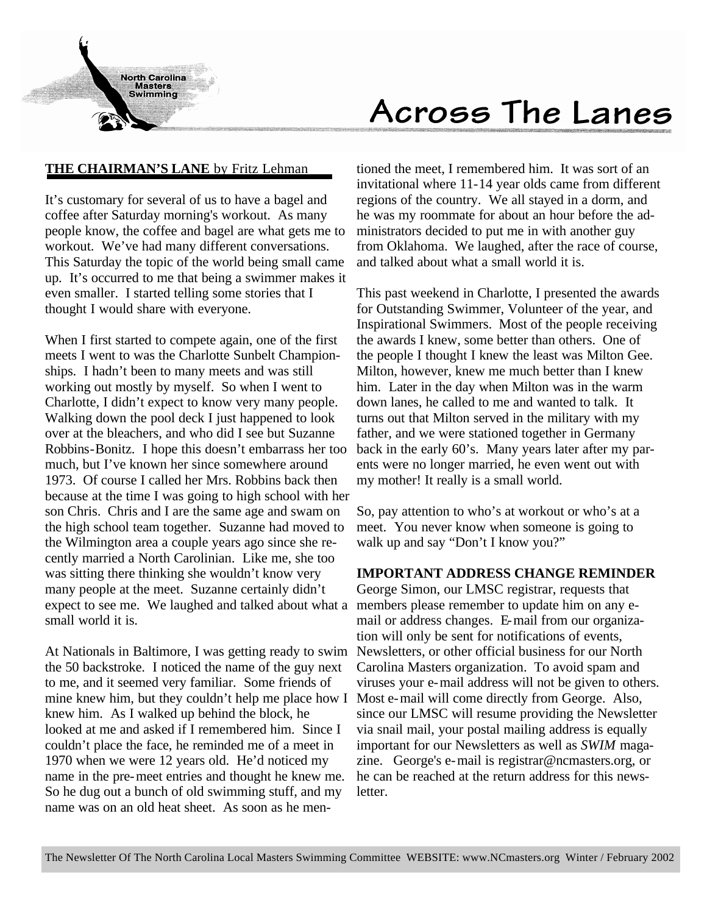

# Across The Lanes

### **THE CHAIRMAN'S LANE** by Fritz Lehman

It's customary for several of us to have a bagel and coffee after Saturday morning's workout. As many people know, the coffee and bagel are what gets me to workout. We've had many different conversations. This Saturday the topic of the world being small came up. It's occurred to me that being a swimmer makes it even smaller. I started telling some stories that I thought I would share with everyone.

When I first started to compete again, one of the first meets I went to was the Charlotte Sunbelt Championships. I hadn't been to many meets and was still working out mostly by myself. So when I went to Charlotte, I didn't expect to know very many people. Walking down the pool deck I just happened to look over at the bleachers, and who did I see but Suzanne Robbins-Bonitz. I hope this doesn't embarrass her too much, but I've known her since somewhere around 1973. Of course I called her Mrs. Robbins back then because at the time I was going to high school with her son Chris. Chris and I are the same age and swam on the high school team together. Suzanne had moved to the Wilmington area a couple years ago since she recently married a North Carolinian. Like me, she too was sitting there thinking she wouldn't know very many people at the meet. Suzanne certainly didn't expect to see me. We laughed and talked about what a small world it is.

At Nationals in Baltimore, I was getting ready to swim the 50 backstroke. I noticed the name of the guy next to me, and it seemed very familiar. Some friends of mine knew him, but they couldn't help me place how I knew him. As I walked up behind the block, he looked at me and asked if I remembered him. Since I couldn't place the face, he reminded me of a meet in 1970 when we were 12 years old. He'd noticed my name in the pre-meet entries and thought he knew me. So he dug out a bunch of old swimming stuff, and my name was on an old heat sheet. As soon as he men-

tioned the meet, I remembered him. It was sort of an invitational where 11-14 year olds came from different regions of the country. We all stayed in a dorm, and he was my roommate for about an hour before the administrators decided to put me in with another guy from Oklahoma. We laughed, after the race of course, and talked about what a small world it is.

This past weekend in Charlotte, I presented the awards for Outstanding Swimmer, Volunteer of the year, and Inspirational Swimmers. Most of the people receiving the awards I knew, some better than others. One of the people I thought I knew the least was Milton Gee. Milton, however, knew me much better than I knew him. Later in the day when Milton was in the warm down lanes, he called to me and wanted to talk. It turns out that Milton served in the military with my father, and we were stationed together in Germany back in the early 60's. Many years later after my parents were no longer married, he even went out with my mother! It really is a small world.

So, pay attention to who's at workout or who's at a meet. You never know when someone is going to walk up and say "Don't I know you?"

#### **IMPORTANT ADDRESS CHANGE REMINDER**

George Simon, our LMSC registrar, requests that members please remember to update him on any email or address changes. E-mail from our organization will only be sent for notifications of events, Newsletters, or other official business for our North Carolina Masters organization. To avoid spam and viruses your e-mail address will not be given to others. Most e-mail will come directly from George. Also, since our LMSC will resume providing the Newsletter via snail mail, your postal mailing address is equally important for our Newsletters as well as *SWIM* magazine. George's e-mail is registrar@ncmasters.org, or he can be reached at the return address for this newsletter.

The Newsletter Of The North Carolina Local Masters Swimming Committee WEBSITE: www.NCmasters.org Winter / February 2002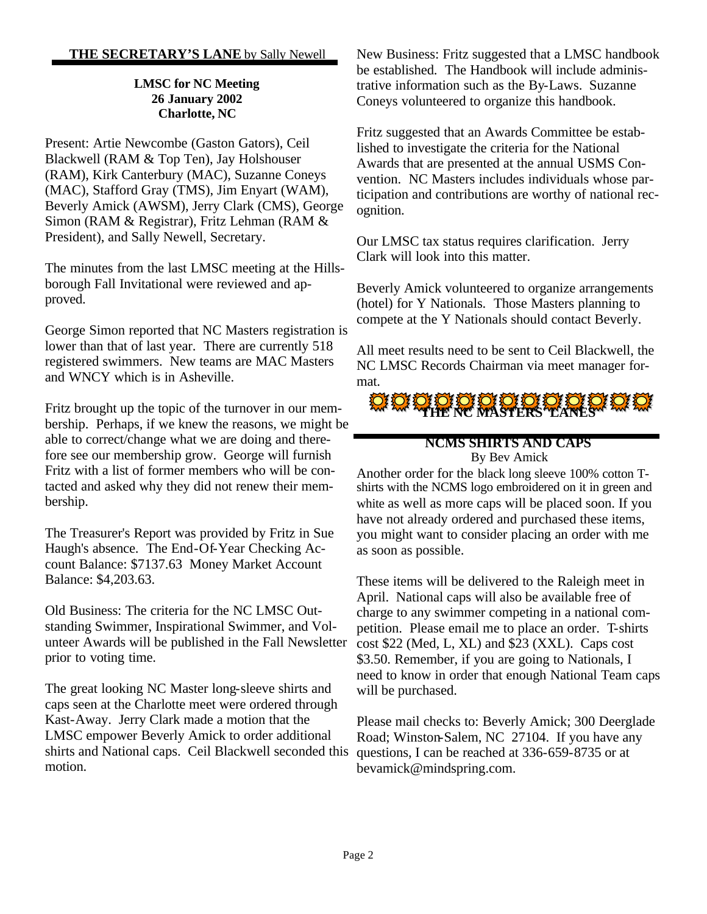#### **THE SECRETARY'S LANE** by Sally Newell

#### **LMSC for NC Meeting 26 January 2002 Charlotte, NC**

Present: Artie Newcombe (Gaston Gators), Ceil Blackwell (RAM & Top Ten), Jay Holshouser (RAM), Kirk Canterbury (MAC), Suzanne Coneys (MAC), Stafford Gray (TMS), Jim Enyart (WAM), Beverly Amick (AWSM), Jerry Clark (CMS), George Simon (RAM & Registrar), Fritz Lehman (RAM & President), and Sally Newell, Secretary.

The minutes from the last LMSC meeting at the Hillsborough Fall Invitational were reviewed and approved.

George Simon reported that NC Masters registration is lower than that of last year. There are currently 518 registered swimmers. New teams are MAC Masters and WNCY which is in Asheville.

Fritz brought up the topic of the turnover in our membership. Perhaps, if we knew the reasons, we might be able to correct/change what we are doing and therefore see our membership grow. George will furnish Fritz with a list of former members who will be contacted and asked why they did not renew their membership.

The Treasurer's Report was provided by Fritz in Sue Haugh's absence. The End-Of-Year Checking Account Balance: \$7137.63 Money Market Account Balance: \$4,203.63.

Old Business: The criteria for the NC LMSC Outstanding Swimmer, Inspirational Swimmer, and Volunteer Awards will be published in the Fall Newsletter prior to voting time.

The great looking NC Master long-sleeve shirts and caps seen at the Charlotte meet were ordered through Kast-Away. Jerry Clark made a motion that the LMSC empower Beverly Amick to order additional shirts and National caps. Ceil Blackwell seconded this motion.

New Business: Fritz suggested that a LMSC handbook be established. The Handbook will include administrative information such as the By-Laws. Suzanne Coneys volunteered to organize this handbook.

Fritz suggested that an Awards Committee be established to investigate the criteria for the National Awards that are presented at the annual USMS Convention. NC Masters includes individuals whose participation and contributions are worthy of national recognition.

Our LMSC tax status requires clarification. Jerry Clark will look into this matter.

Beverly Amick volunteered to organize arrangements (hotel) for Y Nationals. Those Masters planning to compete at the Y Nationals should contact Beverly.

All meet results need to be sent to Ceil Blackwell, the NC LMSC Records Chairman via meet manager format.



#### **NCMS SHIRTS AND CAPS** By Bev Amick

Another order for the black long sleeve 100% cotton Tshirts with the NCMS logo embroidered on it in green and white as well as more caps will be placed soon. If you have not already ordered and purchased these items, you might want to consider placing an order with me as soon as possible.

These items will be delivered to the Raleigh meet in April. National caps will also be available free of charge to any swimmer competing in a national competition. Please email me to place an order. T-shirts cost \$22 (Med, L, XL) and \$23 (XXL). Caps cost \$3.50. Remember, if you are going to Nationals, I need to know in order that enough National Team caps will be purchased.

Please mail checks to: Beverly Amick; 300 Deerglade Road; Winston-Salem, NC 27104. If you have any questions, I can be reached at 336-659-8735 or at bevamick@mindspring.com.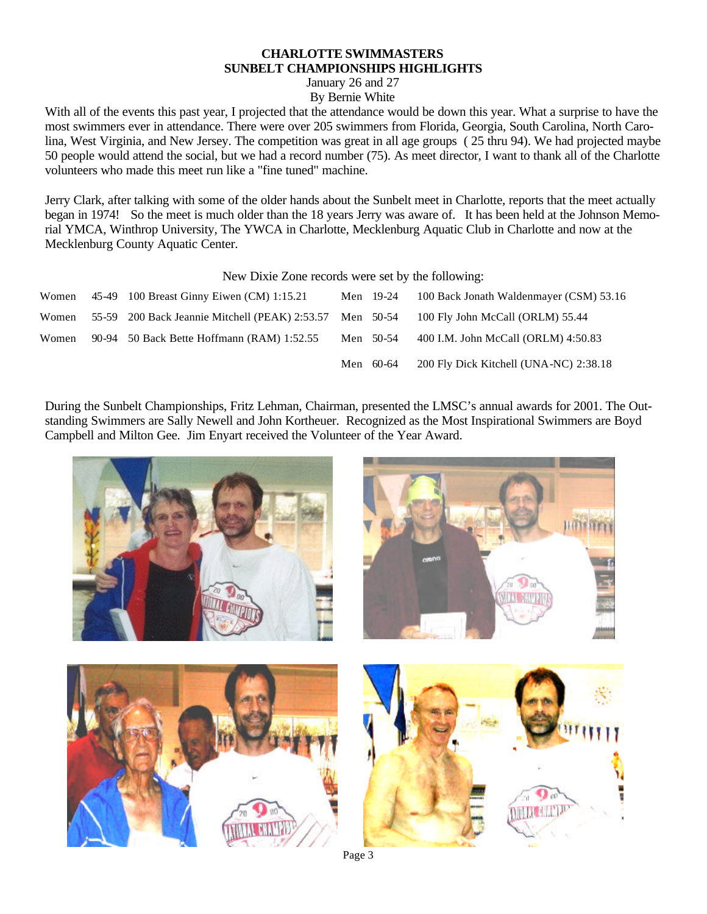#### **CHARLOTTE SWIMMASTERS SUNBELT CHAMPIONSHIPS HIGHLIGHTS**

January 26 and 27

By Bernie White

With all of the events this past year, I projected that the attendance would be down this year. What a surprise to have the most swimmers ever in attendance. There were over 205 swimmers from Florida, Georgia, South Carolina, North Carolina, West Virginia, and New Jersey. The competition was great in all age groups ( 25 thru 94). We had projected maybe 50 people would attend the social, but we had a record number (75). As meet director, I want to thank all of the Charlotte volunteers who made this meet run like a "fine tuned" machine.

Jerry Clark, after talking with some of the older hands about the Sunbelt meet in Charlotte, reports that the meet actually began in 1974! So the meet is much older than the 18 years Jerry was aware of. It has been held at the Johnson Memorial YMCA, Winthrop University, The YWCA in Charlotte, Mecklenburg Aquatic Club in Charlotte and now at the Mecklenburg County Aquatic Center.

New Dixie Zone records were set by the following:

| Women | 45-49 100 Breast Ginny Eiwen (CM) 1:15.21                | Men 19-24 | 100 Back Jonath Waldenmayer (CSM) 53.16 |
|-------|----------------------------------------------------------|-----------|-----------------------------------------|
| Women | 55-59 200 Back Jeannie Mitchell (PEAK) 2:53.57 Men 50-54 |           | 100 Fly John McCall (ORLM) 55.44        |
| Women | 90-94 50 Back Bette Hoffmann (RAM) 1:52.55               | Men 50-54 | 400 I.M. John McCall (ORLM) 4:50.83     |
|       |                                                          | Men 60-64 | 200 Fly Dick Kitchell (UNA-NC) 2:38.18  |

During the Sunbelt Championships, Fritz Lehman, Chairman, presented the LMSC's annual awards for 2001. The Outstanding Swimmers are Sally Newell and John Kortheuer. Recognized as the Most Inspirational Swimmers are Boyd Campbell and Milton Gee. Jim Enyart received the Volunteer of the Year Award.

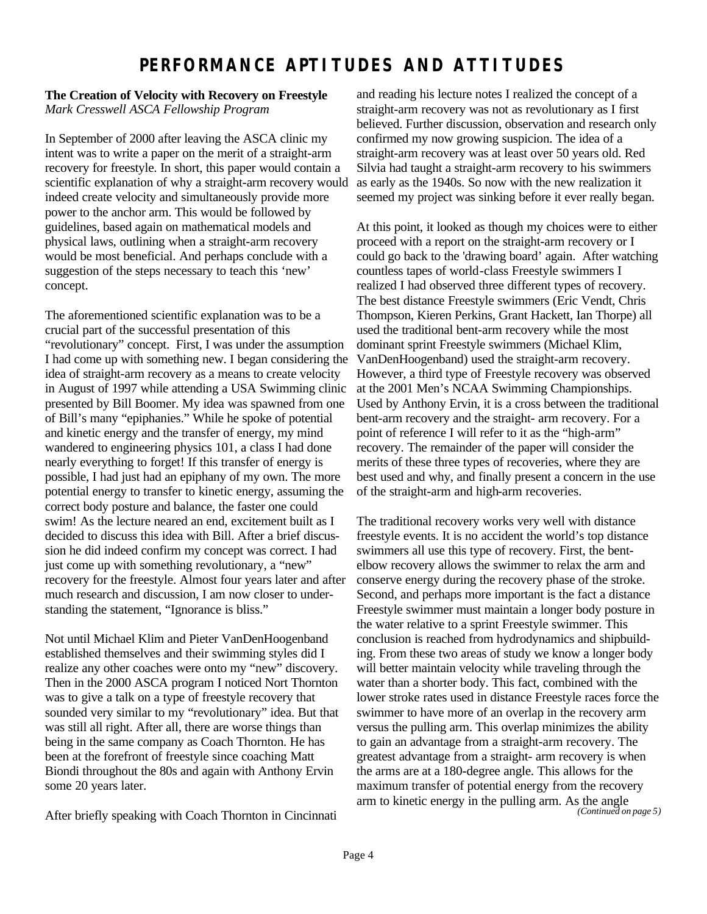# **PERFORMANCE APTITUDES AND ATTITUDES**

#### **The Creation of Velocity with Recovery on Freestyle** *Mark Cresswell ASCA Fellowship Program*

In September of 2000 after leaving the ASCA clinic my intent was to write a paper on the merit of a straight-arm recovery for freestyle. In short, this paper would contain a scientific explanation of why a straight-arm recovery would indeed create velocity and simultaneously provide more power to the anchor arm. This would be followed by guidelines, based again on mathematical models and physical laws, outlining when a straight-arm recovery would be most beneficial. And perhaps conclude with a suggestion of the steps necessary to teach this 'new' concept.

The aforementioned scientific explanation was to be a crucial part of the successful presentation of this "revolutionary" concept. First, I was under the assumption I had come up with something new. I began considering the idea of straight-arm recovery as a means to create velocity in August of 1997 while attending a USA Swimming clinic presented by Bill Boomer. My idea was spawned from one of Bill's many "epiphanies." While he spoke of potential and kinetic energy and the transfer of energy, my mind wandered to engineering physics 101, a class I had done nearly everything to forget! If this transfer of energy is possible, I had just had an epiphany of my own. The more potential energy to transfer to kinetic energy, assuming the correct body posture and balance, the faster one could swim! As the lecture neared an end, excitement built as I decided to discuss this idea with Bill. After a brief discussion he did indeed confirm my concept was correct. I had just come up with something revolutionary, a "new" recovery for the freestyle. Almost four years later and after much research and discussion, I am now closer to understanding the statement, "Ignorance is bliss."

Not until Michael Klim and Pieter VanDenHoogenband established themselves and their swimming styles did I realize any other coaches were onto my "new" discovery. Then in the 2000 ASCA program I noticed Nort Thornton was to give a talk on a type of freestyle recovery that sounded very similar to my "revolutionary" idea. But that was still all right. After all, there are worse things than being in the same company as Coach Thornton. He has been at the forefront of freestyle since coaching Matt Biondi throughout the 80s and again with Anthony Ervin some 20 years later.

After briefly speaking with Coach Thornton in Cincinnati

and reading his lecture notes I realized the concept of a straight-arm recovery was not as revolutionary as I first believed. Further discussion, observation and research only confirmed my now growing suspicion. The idea of a straight-arm recovery was at least over 50 years old. Red Silvia had taught a straight-arm recovery to his swimmers as early as the 1940s. So now with the new realization it seemed my project was sinking before it ever really began.

At this point, it looked as though my choices were to either proceed with a report on the straight-arm recovery or I could go back to the 'drawing board' again. After watching countless tapes of world-class Freestyle swimmers I realized I had observed three different types of recovery. The best distance Freestyle swimmers (Eric Vendt, Chris Thompson, Kieren Perkins, Grant Hackett, Ian Thorpe) all used the traditional bent-arm recovery while the most dominant sprint Freestyle swimmers (Michael Klim, VanDenHoogenband) used the straight-arm recovery. However, a third type of Freestyle recovery was observed at the 2001 Men's NCAA Swimming Championships. Used by Anthony Ervin, it is a cross between the traditional bent-arm recovery and the straight- arm recovery. For a point of reference I will refer to it as the "high-arm" recovery. The remainder of the paper will consider the merits of these three types of recoveries, where they are best used and why, and finally present a concern in the use of the straight-arm and high-arm recoveries.

The traditional recovery works very well with distance freestyle events. It is no accident the world's top distance swimmers all use this type of recovery. First, the bentelbow recovery allows the swimmer to relax the arm and conserve energy during the recovery phase of the stroke. Second, and perhaps more important is the fact a distance Freestyle swimmer must maintain a longer body posture in the water relative to a sprint Freestyle swimmer. This conclusion is reached from hydrodynamics and shipbuilding. From these two areas of study we know a longer body will better maintain velocity while traveling through the water than a shorter body. This fact, combined with the lower stroke rates used in distance Freestyle races force the swimmer to have more of an overlap in the recovery arm versus the pulling arm. This overlap minimizes the ability to gain an advantage from a straight-arm recovery. The greatest advantage from a straight- arm recovery is when the arms are at a 180-degree angle. This allows for the maximum transfer of potential energy from the recovery arm to kinetic energy in the pulling arm. As the angle *(Continued on page 5)*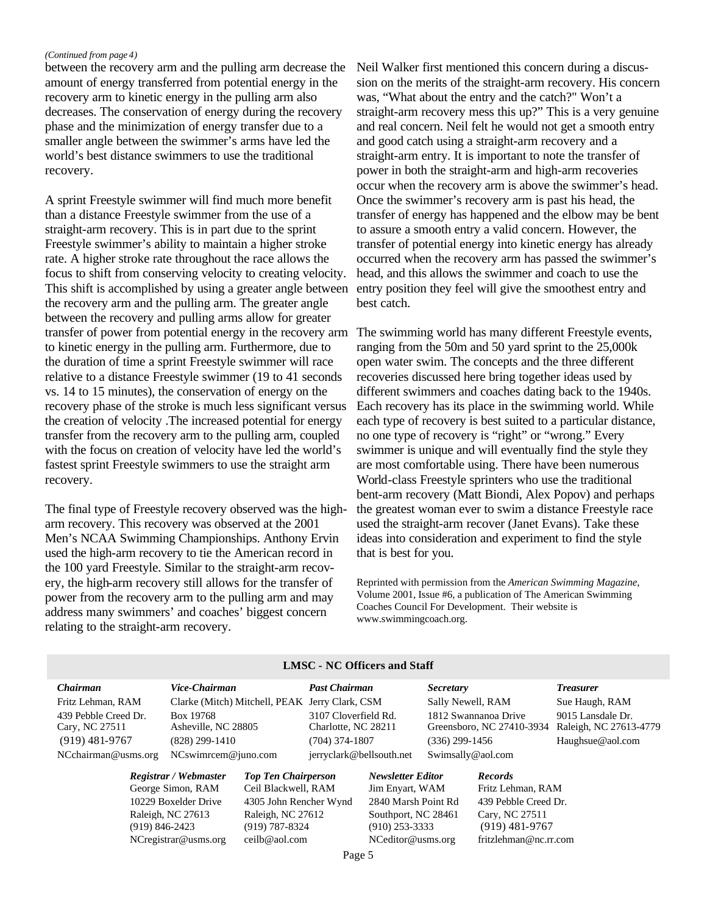#### *(Continued from page 4)*

between the recovery arm and the pulling arm decrease the amount of energy transferred from potential energy in the recovery arm to kinetic energy in the pulling arm also decreases. The conservation of energy during the recovery phase and the minimization of energy transfer due to a smaller angle between the swimmer's arms have led the world's best distance swimmers to use the traditional recovery.

A sprint Freestyle swimmer will find much more benefit than a distance Freestyle swimmer from the use of a straight-arm recovery. This is in part due to the sprint Freestyle swimmer's ability to maintain a higher stroke rate. A higher stroke rate throughout the race allows the focus to shift from conserving velocity to creating velocity. This shift is accomplished by using a greater angle between the recovery arm and the pulling arm. The greater angle between the recovery and pulling arms allow for greater transfer of power from potential energy in the recovery arm The swimming world has many different Freestyle events, to kinetic energy in the pulling arm. Furthermore, due to the duration of time a sprint Freestyle swimmer will race relative to a distance Freestyle swimmer (19 to 41 seconds vs. 14 to 15 minutes), the conservation of energy on the recovery phase of the stroke is much less significant versus the creation of velocity .The increased potential for energy transfer from the recovery arm to the pulling arm, coupled with the focus on creation of velocity have led the world's fastest sprint Freestyle swimmers to use the straight arm recovery.

The final type of Freestyle recovery observed was the higharm recovery. This recovery was observed at the 2001 Men's NCAA Swimming Championships. Anthony Ervin used the high-arm recovery to tie the American record in the 100 yard Freestyle. Similar to the straight-arm recovery, the high-arm recovery still allows for the transfer of power from the recovery arm to the pulling arm and may address many swimmers' and coaches' biggest concern relating to the straight-arm recovery.

Neil Walker first mentioned this concern during a discussion on the merits of the straight-arm recovery. His concern was, "What about the entry and the catch?" Won't a straight-arm recovery mess this up?" This is a very genuine and real concern. Neil felt he would not get a smooth entry and good catch using a straight-arm recovery and a straight-arm entry. It is important to note the transfer of power in both the straight-arm and high-arm recoveries occur when the recovery arm is above the swimmer's head. Once the swimmer's recovery arm is past his head, the transfer of energy has happened and the elbow may be bent to assure a smooth entry a valid concern. However, the transfer of potential energy into kinetic energy has already occurred when the recovery arm has passed the swimmer's head, and this allows the swimmer and coach to use the entry position they feel will give the smoothest entry and best catch.

ranging from the 50m and 50 yard sprint to the 25,000k open water swim. The concepts and the three different recoveries discussed here bring together ideas used by different swimmers and coaches dating back to the 1940s. Each recovery has its place in the swimming world. While each type of recovery is best suited to a particular distance, no one type of recovery is "right" or "wrong." Every swimmer is unique and will eventually find the style they are most comfortable using. There have been numerous World-class Freestyle sprinters who use the traditional bent-arm recovery (Matt Biondi, Alex Popov) and perhaps the greatest woman ever to swim a distance Freestyle race used the straight-arm recover (Janet Evans). Take these ideas into consideration and experiment to find the style that is best for you.

Reprinted with permission from the *American Swimming Magazine*, Volume 2001, Issue #6, a publication of The American Swimming Coaches Council For Development. Their website is www.swimmingcoach.org.

| Chairman                                  | Vice-Chairman                                  |                            | <b>Past Chairman</b>     |                          | <i>Secretary</i>          |                      | <b>Treasurer</b>       |
|-------------------------------------------|------------------------------------------------|----------------------------|--------------------------|--------------------------|---------------------------|----------------------|------------------------|
| Fritz Lehman, RAM                         | Clarke (Mitch) Mitchell, PEAK Jerry Clark, CSM |                            |                          |                          | Sally Newell, RAM         |                      | Sue Haugh, RAM         |
| 439 Pebble Creed Dr.                      | Box 19768                                      |                            | 3107 Cloverfield Rd.     |                          | 1812 Swannanoa Drive      |                      | 9015 Lansdale Dr.      |
| Cary, NC 27511                            | Asheville, NC 28805                            | Charlotte, NC 28211        |                          |                          | Greensboro, NC 27410-3934 |                      | Raleigh, NC 27613-4779 |
| $(919)$ 481-9767                          | $(828)$ 299-1410                               |                            | (704) 374-1807           |                          | (336) 299-1456            |                      | Haughsue@aol.com       |
| NCchairman@usms.org                       | $NCswim$ cem $@juno.com$                       |                            | jerryclark@bellsouth.net |                          |                           | Swimsally@aol.com    |                        |
|                                           | Registrar / Webmaster                          | <b>Top Ten Chairperson</b> |                          | <b>Newsletter Editor</b> |                           | <b>Records</b>       |                        |
| George Simon, RAM<br>10229 Boxelder Drive |                                                | Ceil Blackwell, RAM        |                          | Jim Enyart, WAM          |                           | Fritz Lehman, RAM    |                        |
|                                           |                                                | 4305 John Rencher Wynd     |                          | 2840 Marsh Point Rd      |                           | 439 Pebble Creed Dr. |                        |
|                                           | Raleigh, NC 27613                              | Raleigh, NC 27612          |                          | Southport, NC 28461      |                           | Cary, NC 27511       |                        |

#### **LMSC - NC Officers and Staff**

(919) 846-2423 (919) 787-8324 (910) 253-3333 (919) 481-9767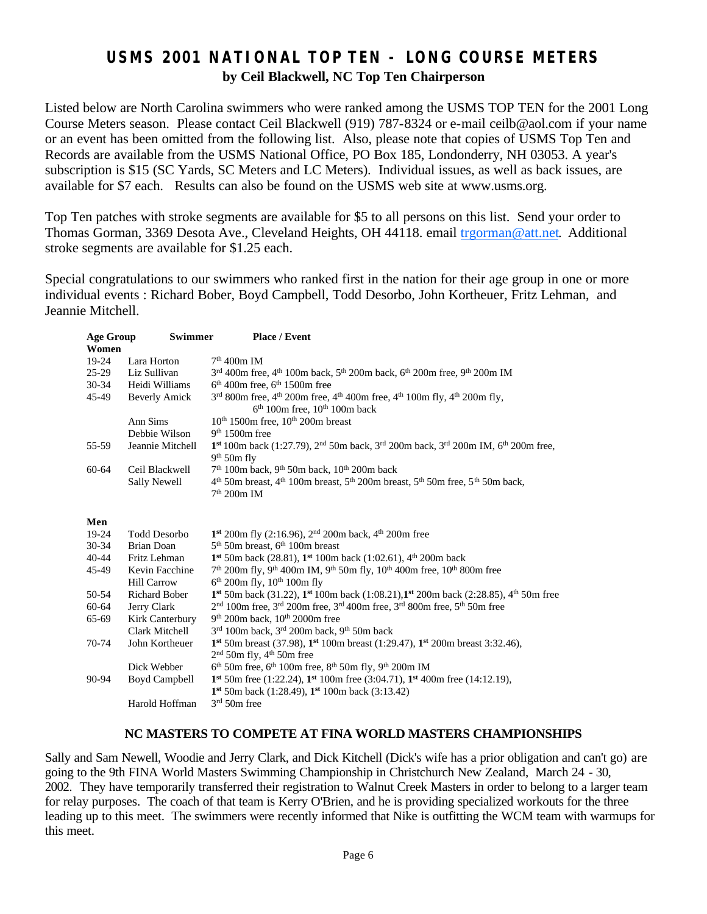## **USMS 2001 NATIONAL TOP TEN - LONG COURSE METERS by Ceil Blackwell, NC Top Ten Chairperson**

Listed below are North Carolina swimmers who were ranked among the USMS TOP TEN for the 2001 Long Course Meters season. Please contact Ceil Blackwell (919) 787-8324 or e-mail ceilb@aol.com if your name or an event has been omitted from the following list. Also, please note that copies of USMS Top Ten and Records are available from the USMS National Office, PO Box 185, Londonderry, NH 03053. A year's subscription is \$15 (SC Yards, SC Meters and LC Meters). Individual issues, as well as back issues, are available for \$7 each. Results can also be found on the USMS web site at www.usms.org.

Top Ten patches with stroke segments are available for \$5 to all persons on this list. Send your order to Thomas Gorman, 3369 Desota Ave., Cleveland Heights, OH 44118. email trgorman@att.net. Additional stroke segments are available for \$1.25 each.

Special congratulations to our swimmers who ranked first in the nation for their age group in one or more individual events : Richard Bober, Boyd Campbell, Todd Desorbo, John Kortheuer, Fritz Lehman, and Jeannie Mitchell.

| <b>Age Group</b> | Swimmer              | <b>Place / Event</b>                                                                                                                                               |  |  |  |
|------------------|----------------------|--------------------------------------------------------------------------------------------------------------------------------------------------------------------|--|--|--|
| Women            |                      |                                                                                                                                                                    |  |  |  |
| 19-24            | Lara Horton          | $7th$ 400m IM                                                                                                                                                      |  |  |  |
| $25-29$          | Liz Sullivan         | $3rd$ 400m free, 4 <sup>th</sup> 100m back, 5 <sup>th</sup> 200m back, 6 <sup>th</sup> 200m free, 9 <sup>th</sup> 200m IM                                          |  |  |  |
| $30 - 34$        | Heidi Williams       | $6th$ 400m free, $6th$ 1500m free                                                                                                                                  |  |  |  |
| 45-49            | <b>Beverly Amick</b> | $3^{rd}$ 800m free, 4 <sup>th</sup> 200m free, 4 <sup>th</sup> 400m free, 4 <sup>th</sup> 100m fly, 4 <sup>th</sup> 200m fly,<br>$6th 100m$ free, $10th 100m$ back |  |  |  |
|                  | Ann Sims             | $10th 1500m$ free, $10th 200m$ breast                                                                                                                              |  |  |  |
|                  | Debbie Wilson        | $9th 1500m$ free                                                                                                                                                   |  |  |  |
| 55-59            | Jeannie Mitchell     | 1st 100m back (1:27.79), 2 <sup>nd</sup> 50m back, 3 <sup>rd</sup> 200m back, 3 <sup>rd</sup> 200m IM, 6 <sup>th</sup> 200m free,<br>$9th 50th$ fly                |  |  |  |
| 60-64            | Ceil Blackwell       | 7 <sup>th</sup> 100m back, 9 <sup>th</sup> 50m back, 10 <sup>th</sup> 200m back                                                                                    |  |  |  |
|                  | <b>Sally Newell</b>  | $4th$ 50m breast, $4th$ 100m breast, $5th$ 200m breast, $5th$ 50m free, $5th$ 50m back,<br>$7th 200m$ IM                                                           |  |  |  |
| Men              |                      |                                                                                                                                                                    |  |  |  |
| 19-24            | <b>Todd Desorbo</b>  | 1 <sup>st</sup> 200m fly (2:16.96), 2 <sup>nd</sup> 200m back, 4 <sup>th</sup> 200m free                                                                           |  |  |  |
| $30 - 34$        | Brian Doan           | $5th$ 50m breast, 6 <sup>th</sup> 100m breast                                                                                                                      |  |  |  |
| $40 - 44$        | Fritz Lehman         | 1 <sup>st</sup> 50m back (28.81), 1 <sup>st</sup> 100m back (1:02.61), 4 <sup>th</sup> 200m back                                                                   |  |  |  |
| 45-49            | Kevin Facchine       | $7th$ 200m fly, 9 <sup>th</sup> 400m IM, 9 <sup>th</sup> 50m fly, 10 <sup>th</sup> 400m free, 10 <sup>th</sup> 800m free                                           |  |  |  |
|                  | <b>Hill Carrow</b>   | $6th$ 200m fly, 10 <sup>th</sup> 100m fly                                                                                                                          |  |  |  |
| 50-54            | <b>Richard Bober</b> | 1 <sup>st</sup> 50m back (31.22), 1 <sup>st</sup> 100m back (1:08.21), 1 <sup>st</sup> 200m back (2:28.85), 4 <sup>th</sup> 50m free                               |  |  |  |
| 60-64            | Jerry Clark          | 2 <sup>nd</sup> 100m free, 3 <sup>rd</sup> 200m free, 3 <sup>rd</sup> 400m free, 3 <sup>rd</sup> 800m free, 5 <sup>th</sup> 50m free                               |  |  |  |
| 65-69            | Kirk Canterbury      | $9th$ 200m back, $10th$ 2000m free                                                                                                                                 |  |  |  |
|                  | Clark Mitchell       | $3rd$ 100m back, $3rd$ 200m back, $9th$ 50m back                                                                                                                   |  |  |  |
| 70-74            | John Kortheuer       | 1st 50m breast (37.98), 1st 100m breast (1:29.47), 1st 200m breast 3:32.46),                                                                                       |  |  |  |
|                  |                      | $2nd$ 50m fly, 4 <sup>th</sup> 50m free                                                                                                                            |  |  |  |
|                  | Dick Webber          | $6th$ 50m free, $6th$ 100m free, $8th$ 50m fly, $9th$ 200m IM                                                                                                      |  |  |  |
| 90-94            | Boyd Campbell        | 1st 50m free (1:22.24), 1st 100m free (3:04.71), 1st 400m free (14:12.19),                                                                                         |  |  |  |
|                  |                      | 1 <sup>st</sup> 50m back (1:28.49), 1 <sup>st</sup> 100m back (3:13.42)                                                                                            |  |  |  |
|                  | Harold Hoffman       | $3rd 50rn$ free                                                                                                                                                    |  |  |  |

#### **NC MASTERS TO COMPETE AT FINA WORLD MASTERS CHAMPIONSHIPS**

Sally and Sam Newell, Woodie and Jerry Clark, and Dick Kitchell (Dick's wife has a prior obligation and can't go) are going to the 9th FINA World Masters Swimming Championship in Christchurch New Zealand, March 24 - 30, 2002. They have temporarily transferred their registration to Walnut Creek Masters in order to belong to a larger team for relay purposes. The coach of that team is Kerry O'Brien, and he is providing specialized workouts for the three leading up to this meet. The swimmers were recently informed that Nike is outfitting the WCM team with warmups for this meet.